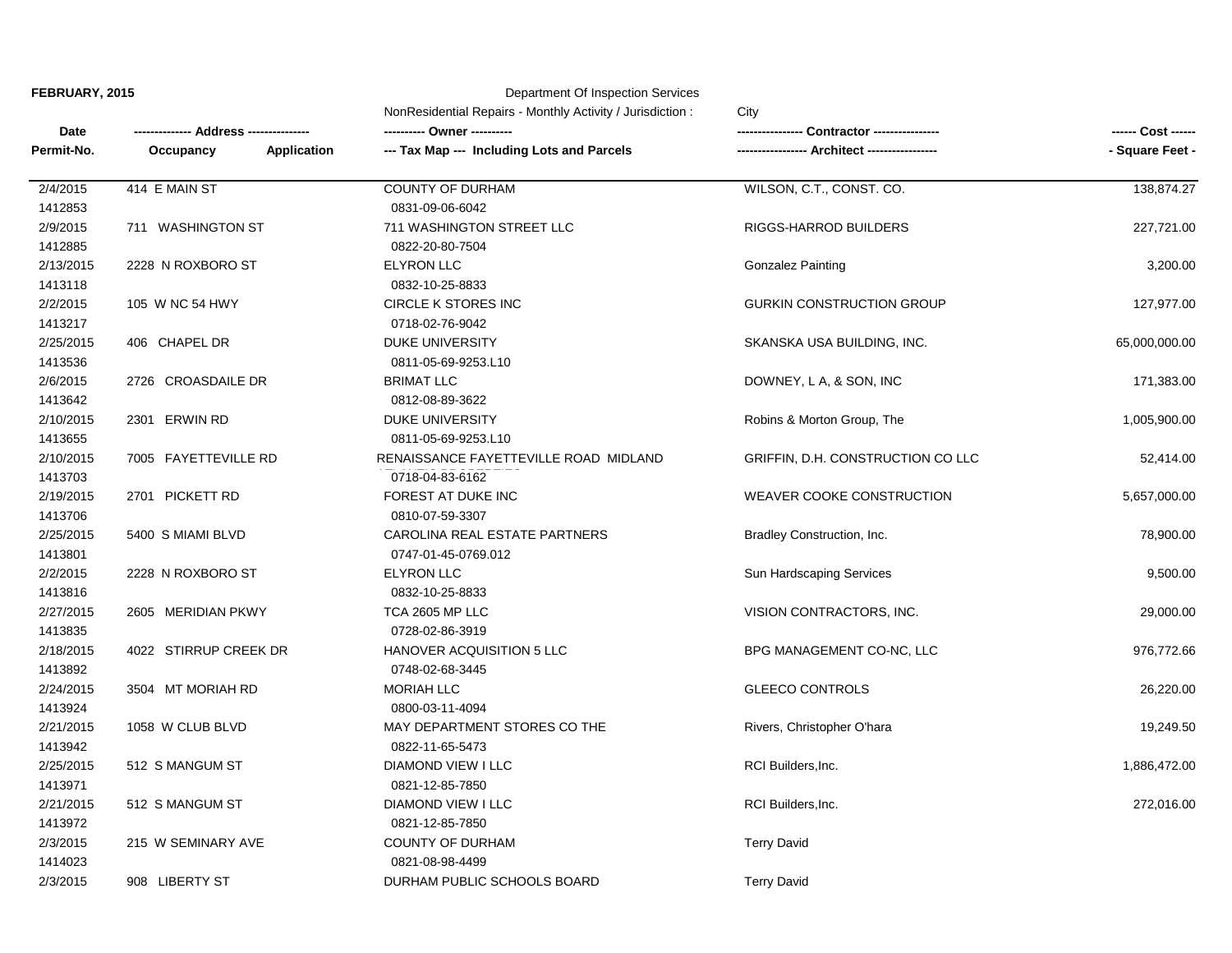## **Department Of Inspection Services**

| Date<br>Permit-No. |                                 | NonResidential Repairs - Monthly Activity / Jurisdiction : | City<br><b>Contractor ---------</b><br><b>Architect ---------</b> | - Square Feet - |
|--------------------|---------------------------------|------------------------------------------------------------|-------------------------------------------------------------------|-----------------|
|                    | <b>Address ------</b>           | --- Tax Map --- Including Lots and Parcels                 |                                                                   |                 |
|                    | Occupancy<br><b>Application</b> |                                                            |                                                                   |                 |
| 2/4/2015           | 414 E MAIN ST                   | COUNTY OF DURHAM                                           | WILSON, C.T., CONST. CO.                                          | 138,874.27      |
| 1412853            |                                 | 0831-09-06-6042                                            |                                                                   |                 |
| 2/9/2015           | 711 WASHINGTON ST               | 711 WASHINGTON STREET LLC                                  | RIGGS-HARROD BUILDERS                                             | 227,721.00      |
| 1412885            |                                 | 0822-20-80-7504                                            |                                                                   |                 |
| 2/13/2015          | 2228 N ROXBORO ST               | <b>ELYRON LLC</b>                                          | <b>Gonzalez Painting</b>                                          | 3,200.00        |
| 1413118            |                                 | 0832-10-25-8833                                            |                                                                   |                 |
| 2/2/2015           | 105 W NC 54 HWY                 | <b>CIRCLE K STORES INC</b>                                 | <b>GURKIN CONSTRUCTION GROUP</b>                                  | 127,977.00      |
| 1413217            |                                 | 0718-02-76-9042                                            |                                                                   |                 |
| 2/25/2015          | 406 CHAPEL DR                   | <b>DUKE UNIVERSITY</b>                                     | SKANSKA USA BUILDING, INC.                                        | 65,000,000.00   |
| 1413536            |                                 | 0811-05-69-9253.L10                                        |                                                                   |                 |
| 2/6/2015           | 2726 CROASDAILE DR              | <b>BRIMAT LLC</b>                                          | DOWNEY, L A, & SON, INC                                           | 171,383.00      |
| 1413642            |                                 | 0812-08-89-3622                                            |                                                                   |                 |
| 2/10/2015          | 2301 ERWIN RD                   | <b>DUKE UNIVERSITY</b>                                     | Robins & Morton Group, The                                        | 1,005,900.00    |
| 1413655            |                                 | 0811-05-69-9253.L10                                        |                                                                   |                 |
| 2/10/2015          | 7005 FAYETTEVILLE RD            | RENAISSANCE FAYETTEVILLE ROAD MIDLAND                      | GRIFFIN, D.H. CONSTRUCTION CO LLC                                 | 52,414.00       |
| 1413703            |                                 | 0718-04-83-6162                                            |                                                                   |                 |
| 2/19/2015          | 2701 PICKETT RD                 | FOREST AT DUKE INC                                         | <b>WEAVER COOKE CONSTRUCTION</b>                                  | 5,657,000.00    |
| 1413706            |                                 | 0810-07-59-3307                                            |                                                                   |                 |
| 2/25/2015          | 5400 S MIAMI BLVD               | CAROLINA REAL ESTATE PARTNERS                              | Bradley Construction, Inc.                                        | 78,900.00       |
| 1413801            |                                 | 0747-01-45-0769.012                                        |                                                                   |                 |
| 2/2/2015           | 2228 N ROXBORO ST               | <b>ELYRON LLC</b>                                          | Sun Hardscaping Services                                          | 9,500.00        |
| 1413816            |                                 | 0832-10-25-8833                                            |                                                                   |                 |
| 2/27/2015          | 2605 MERIDIAN PKWY              | TCA 2605 MP LLC                                            | VISION CONTRACTORS, INC.                                          | 29,000.00       |
| 1413835            |                                 | 0728-02-86-3919                                            |                                                                   |                 |
| 2/18/2015          | 4022 STIRRUP CREEK DR           | HANOVER ACQUISITION 5 LLC                                  | BPG MANAGEMENT CO-NC, LLC                                         | 976,772.66      |
| 1413892            |                                 | 0748-02-68-3445                                            |                                                                   |                 |
| 2/24/2015          | 3504 MT MORIAH RD               | <b>MORIAH LLC</b>                                          | <b>GLEECO CONTROLS</b>                                            | 26,220.00       |
| 1413924            |                                 | 0800-03-11-4094                                            |                                                                   |                 |
| 2/21/2015          | 1058 W CLUB BLVD                | MAY DEPARTMENT STORES CO THE                               | Rivers, Christopher O'hara                                        | 19,249.50       |
| 1413942            |                                 | 0822-11-65-5473                                            |                                                                   |                 |
| 2/25/2015          | 512 S MANGUM ST                 | DIAMOND VIEW I LLC                                         | RCI Builders, Inc.                                                | 1,886,472.00    |
| 1413971            |                                 | 0821-12-85-7850                                            |                                                                   |                 |
| 2/21/2015          | 512 S MANGUM ST                 | DIAMOND VIEW I LLC                                         | RCI Builders, Inc.                                                | 272,016.00      |
| 1413972            |                                 | 0821-12-85-7850                                            |                                                                   |                 |
| 2/3/2015           | 215 W SEMINARY AVE              | <b>COUNTY OF DURHAM</b>                                    | <b>Terry David</b>                                                |                 |
| 1414023            |                                 | 0821-08-98-4499                                            |                                                                   |                 |
| 2/3/2015           | 908 LIBERTY ST                  | DURHAM PUBLIC SCHOOLS BOARD                                | <b>Terry David</b>                                                |                 |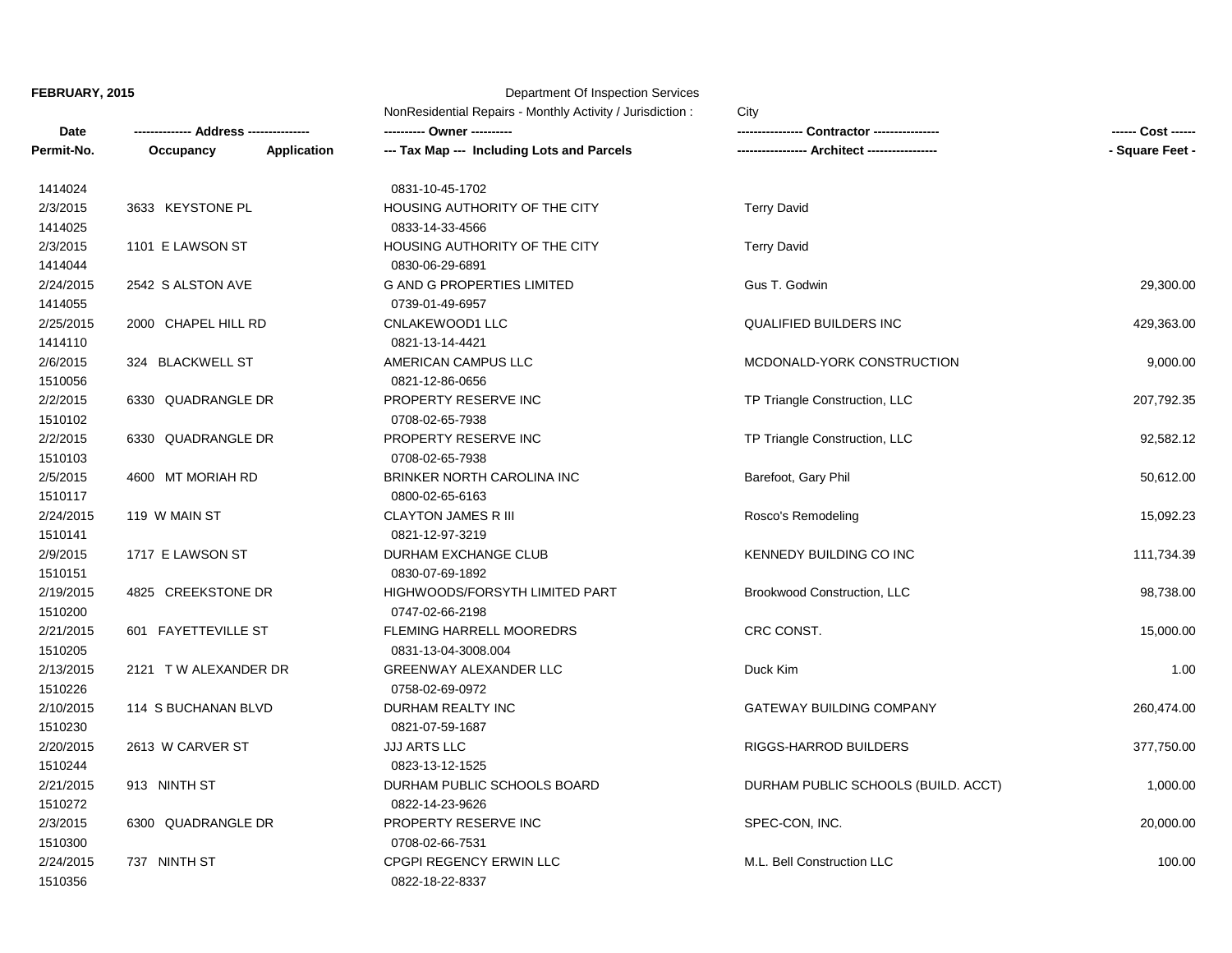1510356 0822-18-22-8337

**Date -------------- Address --------------- ---------- Owner ---------- ---------------- Contractor ---------------- ------ Cost ------ Permit-No. Occupancy Application --- Tax Map --- Including Lots and Parcels ----------------- Architect ----------------- - Square Feet - FEBRUARY, 2015** Department Of Inspection Services NonResidential Repairs - Monthly Activity / Jurisdiction : City

1510300 0708-02-66-7531 2/3/2015 6300 QUADRANGLE DR PROPERTY RESERVE INC SPEC-CON, INC. 20,000.00 2/21/2015 913 NINTH ST DURHAM PUBLIC SCHOOLS BOARD DURHAM PUBLIC SCHOOLS (BUILD. ACCT) 1,000.00 1510272 0822-14-23-9626 1510244 0823-13-12-1525 2/20/2015 2613 W CARVER ST JJJ ARTS LLC RIGGS-HARROD BUILDERS 377,750.00 2/10/2015 114 S BUCHANAN BLVD DURHAM REALTY INC GATEWAY BUILDING COMPANY 260,474.00 1510230 0821-07-59-1687 1510226 0758-02-69-0972 2/13/2015 2121 TWALEXANDER DR GREENWAY ALEXANDER LLC Duck Kim Duck Kim 1.00 2/21/2015 601 FAYETTEVILLE ST FLEMING HARRELL MOOREDRS CRC CONST. 15,000.00 1510205 0831-13-04-3008.004 1510200 0747-02-66-2198 2/19/2015 4825 CREEKSTONE DR HIGHWOODS/FORSYTH LIMITED PART Brookwood Construction, LLC 98,738.00 2/9/2015 1717 E LAWSON ST **DURHAM EXCHANGE CLUB** KENNEDY BUILDING CO INC 111,734.39 1510151 0830-07-69-1892 1510141 0821-12-97-3219 2/24/2015 119 W MAIN ST CLAYTON JAMES R III Rosco's Remodeling 15,092.23 2/5/2015 4600 MT MORIAH RD BRINKER NORTH CAROLINA INC Barefoot, Gary Phil 30,612.00 1510117 0800-02-65-6163 1510103 0708-02-65-7938 2/2/2015 6330 QUADRANGLE DR PROPERTY RESERVE INC TP Triangle Construction, LLC 92,582.12 2/2/2015 6330 QUADRANGLE DR PROPERTY RESERVE INC TP Triangle Construction, LLC 207,792.35 1510102 0708-02-65-7938 1510056 0821-12-86-0656 2/6/2015 324 BLACKWELL ST AMERICAN CAMPUS LLC MCDONALD-YORK CONSTRUCTION 9,000.00 2/25/2015 2000 CHAPEL HILL RD CNLAKEWOOD1 LLC QUALIFIED BUILDERS INC 429,363.00 1414110 0821-13-14-4421 1414055 0739-01-49-6957 2/24/2015 2542 S ALSTON AVE G AND G PROPERTIES LIMITED Gus T. Godwin 29,300.00 2/3/2015 1101 E LAWSON ST HOUSING AUTHORITY OF THE CITY Terry David 1414044 0830-06-29-6891 1414025 0833-14-33-4566 2/3/2015 3633 KEYSTONE PL **HOUSING AUTHORITY OF THE CITY** Terry David 1414024 0831-10-45-1702

2/24/2015 737 NINTH ST CPGPI REGENCY ERWIN LLC M.L. Bell Construction LLC 100.00